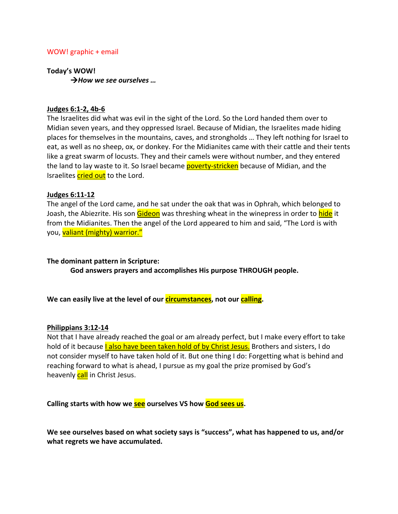### WOW! graphic + email

# **Today's WOW!**

à*How we see ourselves …*

### **Judges 6:1-2, 4b-6**

The Israelites did what was evil in the sight of the Lord. So the Lord handed them over to Midian seven years, and they oppressed Israel. Because of Midian, the Israelites made hiding places for themselves in the mountains, caves, and strongholds … They left nothing for Israel to eat, as well as no sheep, ox, or donkey. For the Midianites came with their cattle and their tents like a great swarm of locusts. They and their camels were without number, and they entered the land to lay waste to it. So Israel became **poverty-stricken** because of Midian, and the Israelites *cried out* to the Lord.

# **Judges 6:11-12**

The angel of the Lord came, and he sat under the oak that was in Ophrah, which belonged to Joash, the Abiezrite. His son Gideon was threshing wheat in the winepress in order to hide it from the Midianites. Then the angel of the Lord appeared to him and said, "The Lord is with you, valiant (mighty) warrior."

### **The dominant pattern in Scripture:**

**God answers prayers and accomplishes His purpose THROUGH people.**

We can easily live at the level of our **circumstances**, not our calling.

### **Philippians 3:12-14**

Not that I have already reached the goal or am already perfect, but I make every effort to take hold of it because I also have been taken hold of by Christ Jesus. Brothers and sisters, I do not consider myself to have taken hold of it. But one thing I do: Forgetting what is behind and reaching forward to what is ahead, I pursue as my goal the prize promised by God's heavenly call in Christ Jesus.

**Calling starts with how we see ourselves VS how God sees us.**

**We see ourselves based on what society says is "success", what has happened to us, and/or what regrets we have accumulated.**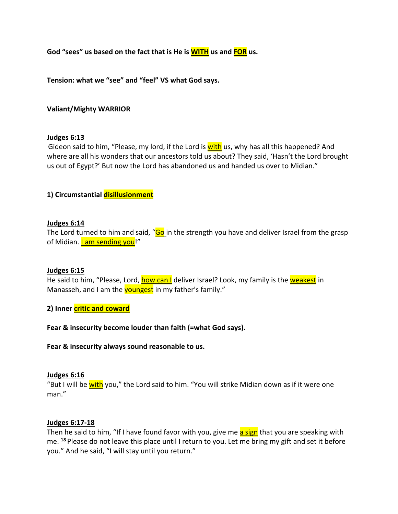**God "sees" us based on the fact that is He is WITH us and FOR us.**

**Tension: what we "see" and "feel" VS what God says.**

# **Valiant/Mighty WARRIOR**

### **Judges 6:13**

Gideon said to him, "Please, my lord, if the Lord is with us, why has all this happened? And where are all his wonders that our ancestors told us about? They said, 'Hasn't the Lord brought us out of Egypt?' But now the Lord has abandoned us and handed us over to Midian."

# **1) Circumstantial disillusionment**

#### **Judges 6:14**

The Lord turned to him and said, "Go in the strength you have and deliver Israel from the grasp of Midian. I am sending you!"

#### **Judges 6:15**

He said to him, "Please, Lord, **how can I** deliver Israel? Look, my family is the weakest in Manasseh, and I am the **youngest** in my father's family."

**2) Inner critic and coward**

**Fear & insecurity become louder than faith (=what God says).**

**Fear & insecurity always sound reasonable to us.**

### **Judges 6:16**

"But I will be with you," the Lord said to him. "You will strike Midian down as if it were one man."

#### **Judges 6:17-18**

Then he said to him, "If I have found favor with you, give me a sign that you are speaking with me. **<sup>18</sup>** Please do not leave this place until I return to you. Let me bring my gift and set it before you." And he said, "I will stay until you return."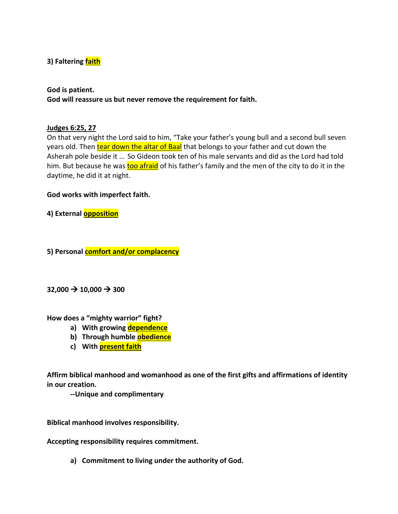# **3) Faltering faith**

**God is patient. God will reassure us but never remove the requirement for faith.**

# **Judges 6:25, 27**

On that very night the Lord said to him, "Take your father's young bull and a second bull seven years old. Then tear down the altar of Baal that belongs to your father and cut down the Asherah pole beside it … So Gideon took ten of his male servants and did as the Lord had told him. But because he was too afraid of his father's family and the men of the city to do it in the daytime, he did it at night.

# **God works with imperfect faith.**

**4) External opposition**

**5) Personal comfort and/or complacency**

 $32,000 \rightarrow 10,000 \rightarrow 300$ 

**How does a "mighty warrior" fight?**

- **a) With growing dependence**
- **b) Through humble obedience**
- **c) With present faith**

**Affirm biblical manhood and womanhood as one of the first gifts and affirmations of identity in our creation.**

**--Unique and complimentary**

**Biblical manhood involves responsibility.**

**Accepting responsibility requires commitment.**

**a) Commitment to living under the authority of God.**